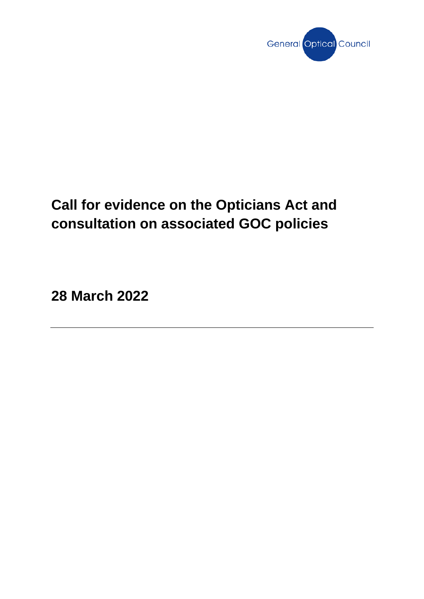

# **Call for evidence on the Opticians Act and consultation on associated GOC policies**

**28 March 2022**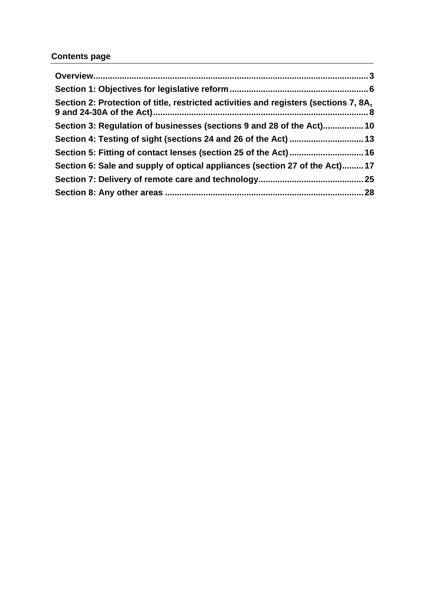# **Contents page**

| Section 2: Protection of title, restricted activities and registers (sections 7, 8A, |  |
|--------------------------------------------------------------------------------------|--|
| Section 3: Regulation of businesses (sections 9 and 28 of the Act) 10                |  |
| Section 4: Testing of sight (sections 24 and 26 of the Act)  13                      |  |
|                                                                                      |  |
| Section 6: Sale and supply of optical appliances (section 27 of the Act)17           |  |
|                                                                                      |  |
|                                                                                      |  |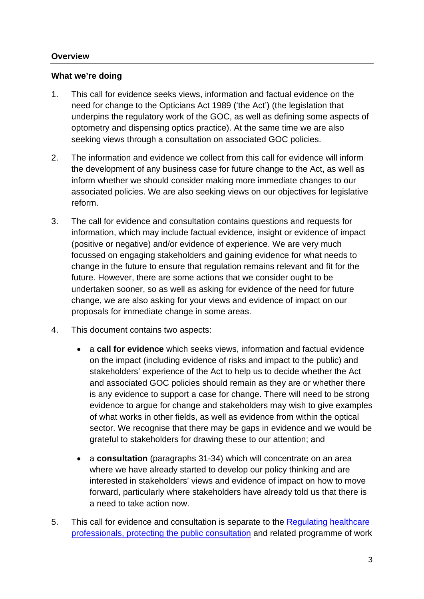# <span id="page-2-0"></span>**Overview**

#### **What we're doing**

- 1. This call for evidence seeks views, information and factual evidence on the need for change to the Opticians Act 1989 ('the Act') (the legislation that underpins the regulatory work of the GOC, as well as defining some aspects of optometry and dispensing optics practice). At the same time we are also seeking views through a consultation on associated GOC policies.
- 2. The information and evidence we collect from this call for evidence will inform the development of any business case for future change to the Act, as well as inform whether we should consider making more immediate changes to our associated policies. We are also seeking views on our objectives for legislative reform.
- 3. The call for evidence and consultation contains questions and requests for information, which may include factual evidence, insight or evidence of impact (positive or negative) and/or evidence of experience. We are very much focussed on engaging stakeholders and gaining evidence for what needs to change in the future to ensure that regulation remains relevant and fit for the future. However, there are some actions that we consider ought to be undertaken sooner, so as well as asking for evidence of the need for future change, we are also asking for your views and evidence of impact on our proposals for immediate change in some areas.
- 4. This document contains two aspects:
	- a **call for evidence** which seeks views, information and factual evidence on the impact (including evidence of risks and impact to the public) and stakeholders' experience of the Act to help us to decide whether the Act and associated GOC policies should remain as they are or whether there is any evidence to support a case for change. There will need to be strong evidence to argue for change and stakeholders may wish to give examples of what works in other fields, as well as evidence from within the optical sector. We recognise that there may be gaps in evidence and we would be grateful to stakeholders for drawing these to our attention; and
	- a **consultation** (paragraphs 31-34) which will concentrate on an area where we have already started to develop our policy thinking and are interested in stakeholders' views and evidence of impact on how to move forward, particularly where stakeholders have already told us that there is a need to take action now.
- 5. This call for evidence and consultation is separate to the [Regulating healthcare](https://www.gov.uk/government/consultations/regulating-healthcare-professionals-protecting-the-public)  [professionals, protecting the public](https://www.gov.uk/government/consultations/regulating-healthcare-professionals-protecting-the-public) consultation and related programme of work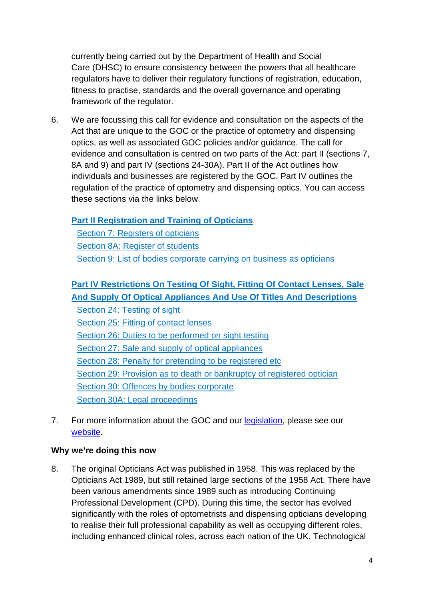currently being carried out by the Department of Health and Social Care (DHSC) to ensure consistency between the powers that all healthcare regulators have to deliver their regulatory functions of registration, education, fitness to practise, standards and the overall governance and operating framework of the regulator.

6. We are focussing this call for evidence and consultation on the aspects of the Act that are unique to the GOC or the practice of optometry and dispensing optics, as well as associated GOC policies and/or guidance. The call for evidence and consultation is centred on two parts of the Act: part II (sections 7, 8A and 9) and part IV (sections 24-30A). Part II of the Act outlines how individuals and businesses are registered by the GOC. Part IV outlines the regulation of the practice of optometry and dispensing optics. You can access these sections via the links below.

# **[Part II Registration and Training of Opticians](https://www.legislation.gov.uk/ukpga/1989/44/part/II)**

[Section 7: Registers of opticians](https://www.legislation.gov.uk/ukpga/1989/44/section/7) [Section 8A: Register of students](https://www.legislation.gov.uk/ukpga/1989/44/section/8A) Section 9: [List of bodies corporate carrying on business as opticians](https://www.legislation.gov.uk/ukpga/1989/44/section/9)

# **[Part IV Restrictions On Testing Of Sight, Fitting Of Contact](https://www.legislation.gov.uk/ukpga/1989/44/part/IV) Lenses, Sale [And Supply Of Optical Appliances And Use Of Titles And Descriptions](https://www.legislation.gov.uk/ukpga/1989/44/part/IV)**

Section 24: [Testing of sight](https://www.legislation.gov.uk/ukpga/1989/44/section/24) [Section 25: Fitting of contact lenses](https://www.legislation.gov.uk/ukpga/1989/44/section/25) Section 26: [Duties to be performed on sight testing](https://www.legislation.gov.uk/ukpga/1989/44/section/26) Section 27: [Sale and supply of optical appliances](https://www.legislation.gov.uk/ukpga/1989/44/section/27) Section 28: [Penalty for pretending to be registered etc](https://www.legislation.gov.uk/ukpga/1989/44/section/28) Section 29: [Provision as to death or bankruptcy of registered optician](https://www.legislation.gov.uk/ukpga/1989/44/section/29) Section 30: [Offences by bodies corporate](https://www.legislation.gov.uk/ukpga/1989/44/section/30) [Section 30A: Legal proceedings](https://www.legislation.gov.uk/ukpga/1989/44/section/30A)

7. For more information about the GOC and our [legislation,](https://optical.org/en/about-us/how-we-work/rules-and-regulations/) please see our [website.](https://optical.org/en/about-us/who-we-are/)

#### **Why we're doing this now**

8. The original Opticians Act was published in 1958. This was replaced by the Opticians Act 1989, but still retained large sections of the 1958 Act. There have been various amendments since 1989 such as introducing Continuing Professional Development (CPD). During this time, the sector has evolved significantly with the roles of optometrists and dispensing opticians developing to realise their full professional capability as well as occupying different roles, including enhanced clinical roles, across each nation of the UK. Technological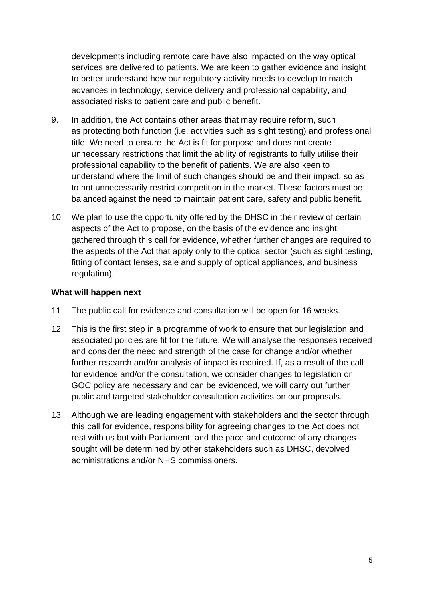developments including remote care have also impacted on the way optical services are delivered to patients. We are keen to gather evidence and insight to better understand how our regulatory activity needs to develop to match advances in technology, service delivery and professional capability, and associated risks to patient care and public benefit.

- 9. In addition, the Act contains other areas that may require reform, such as protecting both function (i.e. activities such as sight testing) and professional title. We need to ensure the Act is fit for purpose and does not create unnecessary restrictions that limit the ability of registrants to fully utilise their professional capability to the benefit of patients. We are also keen to understand where the limit of such changes should be and their impact, so as to not unnecessarily restrict competition in the market. These factors must be balanced against the need to maintain patient care, safety and public benefit.
- 10. We plan to use the opportunity offered by the DHSC in their review of certain aspects of the Act to propose, on the basis of the evidence and insight gathered through this call for evidence, whether further changes are required to the aspects of the Act that apply only to the optical sector (such as sight testing, fitting of contact lenses, sale and supply of optical appliances, and business regulation).

# **What will happen next**

- 11. The public call for evidence and consultation will be open for 16 weeks.
- 12. This is the first step in a programme of work to ensure that our legislation and associated policies are fit for the future. We will analyse the responses received and consider the need and strength of the case for change and/or whether further research and/or analysis of impact is required. If, as a result of the call for evidence and/or the consultation, we consider changes to legislation or GOC policy are necessary and can be evidenced, we will carry out further public and targeted stakeholder consultation activities on our proposals.
- 13. Although we are leading engagement with stakeholders and the sector through this call for evidence, responsibility for agreeing changes to the Act does not rest with us but with Parliament, and the pace and outcome of any changes sought will be determined by other stakeholders such as DHSC, devolved administrations and/or NHS commissioners.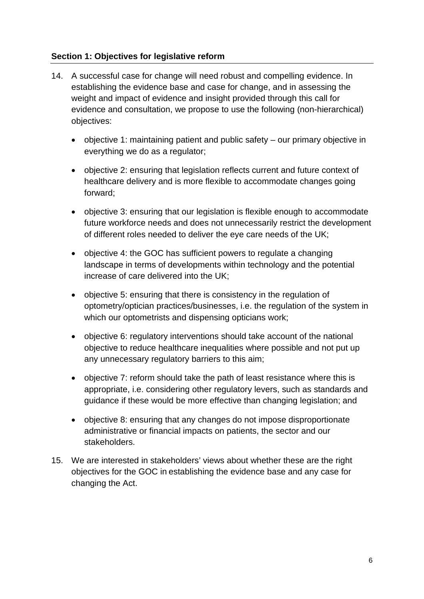# <span id="page-5-0"></span>**Section 1: Objectives for legislative reform**

- 14. A successful case for change will need robust and compelling evidence. In establishing the evidence base and case for change, and in assessing the weight and impact of evidence and insight provided through this call for evidence and consultation, we propose to use the following (non-hierarchical) objectives:
	- objective 1: maintaining patient and public safety our primary objective in everything we do as a regulator;
	- objective 2: ensuring that legislation reflects current and future context of healthcare delivery and is more flexible to accommodate changes going forward;
	- objective 3: ensuring that our legislation is flexible enough to accommodate future workforce needs and does not unnecessarily restrict the development of different roles needed to deliver the eye care needs of the UK;
	- objective 4: the GOC has sufficient powers to regulate a changing landscape in terms of developments within technology and the potential increase of care delivered into the UK;
	- objective 5: ensuring that there is consistency in the regulation of optometry/optician practices/businesses, i.e. the regulation of the system in which our optometrists and dispensing opticians work;
	- objective 6: regulatory interventions should take account of the national objective to reduce healthcare inequalities where possible and not put up any unnecessary regulatory barriers to this aim;
	- objective 7: reform should take the path of least resistance where this is appropriate, i.e. considering other regulatory levers, such as standards and guidance if these would be more effective than changing legislation; and
	- objective 8: ensuring that any changes do not impose disproportionate administrative or financial impacts on patients, the sector and our stakeholders.
- 15. We are interested in stakeholders' views about whether these are the right objectives for the GOC in establishing the evidence base and any case for changing the Act.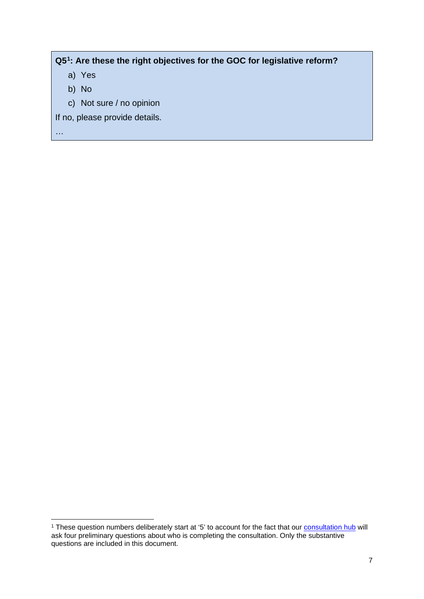# **Q5[1:](#page-6-0) Are these the right objectives for the GOC for legislative reform?**

- a) Yes
- b) No
- c) Not sure / no opinion

If no, please provide details.

<span id="page-6-0"></span><sup>&</sup>lt;sup>1</sup> These question numbers deliberately start at '5' to account for the fact that our **consultation hub** will ask four preliminary questions about who is completing the consultation. Only the substantive questions are included in this document.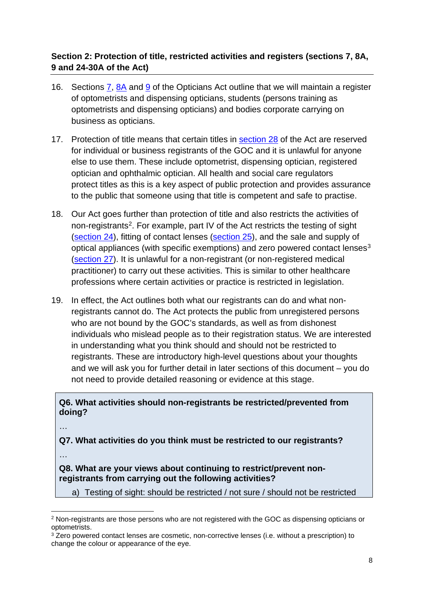# <span id="page-7-0"></span>**Section 2: Protection of title, restricted activities and registers (sections 7, 8A, 9 and 24-30A of the Act)**

- 16. Sections [7,](https://www.legislation.gov.uk/ukpga/1989/44/section/7) [8A](https://www.legislation.gov.uk/ukpga/1989/44/section/8A) and [9](https://www.legislation.gov.uk/ukpga/1989/44/section/9) of the Opticians Act outline that we will maintain a register of optometrists and dispensing opticians, students (persons training as optometrists and dispensing opticians) and bodies corporate carrying on business as opticians.
- 17. Protection of title means that certain titles in [section 28](https://www.legislation.gov.uk/ukpga/1989/44/section/28) of the Act are reserved for individual or business registrants of the GOC and it is unlawful for anyone else to use them. These include optometrist, dispensing optician, registered optician and ophthalmic optician. All health and social care regulators protect titles as this is a key aspect of public protection and provides assurance to the public that someone using that title is competent and safe to practise.
- 18. Our Act goes further than protection of title and also restricts the activities of non-registrants<sup>[2](#page-7-1)</sup>. For example, part IV of the Act restricts the testing of sight [\(section 24\)](https://www.legislation.gov.uk/ukpga/1989/44/section/24), fitting of contact lenses [\(section 25\)](https://www.legislation.gov.uk/ukpga/1989/44/section/25), and the sale and supply of optical appliances (with specific exemptions) and zero powered contact lenses<sup>[3](#page-7-2)</sup> [\(section](https://www.legislation.gov.uk/ukpga/1989/44/section/27) 27). It is unlawful for a non-registrant (or non-registered medical practitioner) to carry out these activities. This is similar to other healthcare professions where certain activities or practice is restricted in legislation.
- 19. In effect, the Act outlines both what our registrants can do and what nonregistrants cannot do. The Act protects the public from unregistered persons who are not bound by the GOC's standards, as well as from dishonest individuals who mislead people as to their registration status. We are interested in understanding what you think should and should not be restricted to registrants. These are introductory high-level questions about your thoughts and we will ask you for further detail in later sections of this document – you do not need to provide detailed reasoning or evidence at this stage.

**Q6. What activities should non-registrants be restricted/prevented from doing?**

…

**Q7. What activities do you think must be restricted to our registrants?**

…

**Q8. What are your views about continuing to restrict/prevent nonregistrants from carrying out the following activities?** 

a) Testing of sight: should be restricted / not sure / should not be restricted

<span id="page-7-1"></span><sup>2</sup> Non-registrants are those persons who are not registered with the GOC as dispensing opticians or optometrists.

<span id="page-7-2"></span><sup>&</sup>lt;sup>3</sup> Zero powered contact lenses are cosmetic, non-corrective lenses (i.e. without a prescription) to change the colour or appearance of the eye.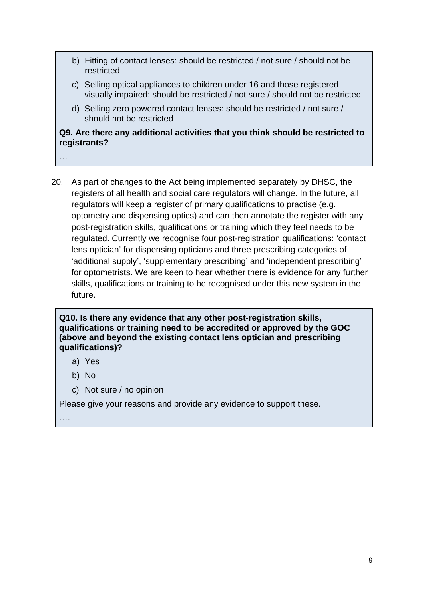- b) Fitting of contact lenses: should be restricted / not sure / should not be restricted
- c) Selling optical appliances to children under 16 and those registered visually impaired: should be restricted / not sure / should not be restricted
- d) Selling zero powered contact lenses: should be restricted / not sure / should not be restricted

# **Q9. Are there any additional activities that you think should be restricted to registrants?**

…

20. As part of changes to the Act being implemented separately by DHSC, the registers of all health and social care regulators will change. In the future, all regulators will keep a register of primary qualifications to practise (e.g. optometry and dispensing optics) and can then annotate the register with any post-registration skills, qualifications or training which they feel needs to be regulated. Currently we recognise four post-registration qualifications: 'contact lens optician' for dispensing opticians and three prescribing categories of 'additional supply', 'supplementary prescribing' and 'independent prescribing' for optometrists. We are keen to hear whether there is evidence for any further skills, qualifications or training to be recognised under this new system in the future.

#### **Q10. Is there any evidence that any other post-registration skills, qualifications or training need to be accredited or approved by the GOC (above and beyond the existing contact lens optician and prescribing qualifications)?**

a) Yes

- b) No
- c) Not sure / no opinion

Please give your reasons and provide any evidence to support these.

….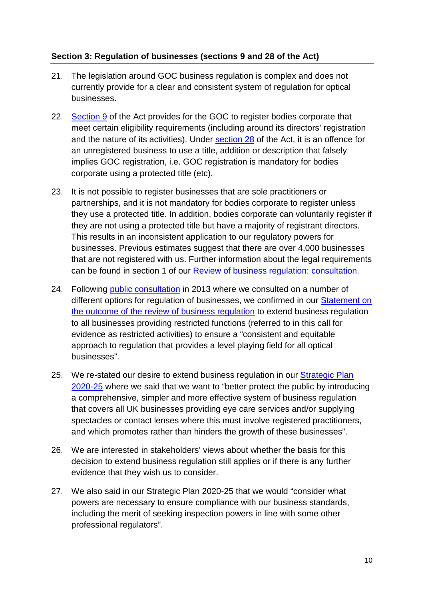# <span id="page-9-0"></span>**Section 3: Regulation of businesses (sections 9 and 28 of the Act)**

- 21. The legislation around GOC business regulation is complex and does not currently provide for a clear and consistent system of regulation for optical businesses.
- 22. [Section](https://www.legislation.gov.uk/ukpga/1989/44/section/9) 9 of the Act provides for the GOC to register bodies corporate that meet certain eligibility requirements (including around its directors' registration and the nature of its activities). Under [section 28](https://www.legislation.gov.uk/ukpga/1989/44/section/28) of the Act, it is an offence for an unregistered business to use a title, addition or description that falsely implies GOC registration, i.e. GOC registration is mandatory for bodies corporate using a protected title (etc).
- 23. It is not possible to register businesses that are sole practitioners or partnerships, and it is not mandatory for bodies corporate to register unless they use a protected title. In addition, bodies corporate can voluntarily register if they are not using a protected title but have a majority of registrant directors. This results in an inconsistent application to our regulatory powers for businesses. Previous estimates suggest that there are over 4,000 businesses that are not registered with us. Further information about the legal requirements can be found in section 1 of our [Review of business regulation: consultation.](https://webarchive.nationalarchives.gov.uk/ukgwa/20200701120705mp_/https:/www.optical.org/download.cfm?docid=9E042943-A597-4F21-919BEBC5C732848D)
- 24. Following [public consultation](https://webarchive.nationalarchives.gov.uk/ukgwa/20200701120705mp_/https:/www.optical.org/download.cfm?docid=9E042943-A597-4F21-919BEBC5C732848D) in 2013 where we consulted on a number of different options for regulation of businesses, we confirmed in our Statement on [the outcome of the review of business regulation](https://webarchive.nationalarchives.gov.uk/ukgwa/20200701120947/https:/www.optical.org/en/Registration/the-register/reviewing-our-approach-to-regulation.cfm) to extend business regulation to all businesses providing restricted functions (referred to in this call for evidence as restricted activities) to ensure a "consistent and equitable approach to regulation that provides a level playing field for all optical businesses".
- 25. We re-stated our desire to extend business regulation in our [Strategic Plan](https://optical.org/en/publications/fit-for-the-future-strategic-plan-1-april-2020-to-31-march-2025/)  [2020-25](https://optical.org/en/publications/fit-for-the-future-strategic-plan-1-april-2020-to-31-march-2025/) where we said that we want to "better protect the public by introducing a comprehensive, simpler and more effective system of business regulation that covers all UK businesses providing eye care services and/or supplying spectacles or contact lenses where this must involve registered practitioners, and which promotes rather than hinders the growth of these businesses".
- 26. We are interested in stakeholders' views about whether the basis for this decision to extend business regulation still applies or if there is any further evidence that they wish us to consider.
- 27. We also said in our Strategic Plan 2020-25 that we would "consider what powers are necessary to ensure compliance with our business standards, including the merit of seeking inspection powers in line with some other professional regulators".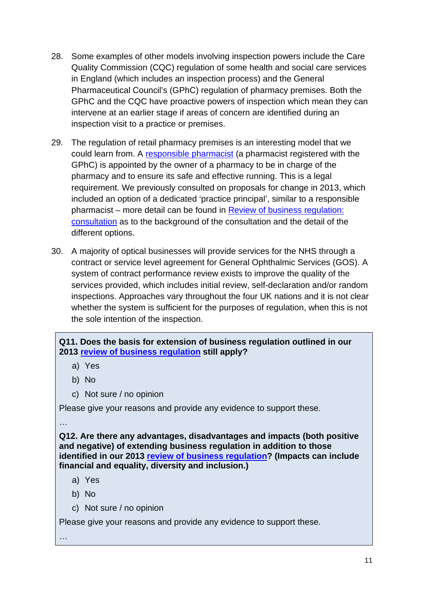- 28. Some examples of other models involving inspection powers include the Care Quality Commission (CQC) regulation of some health and social care services in England (which includes an inspection process) and the General Pharmaceutical Council's (GPhC) regulation of pharmacy premises. Both the GPhC and the CQC have proactive powers of inspection which mean they can intervene at an earlier stage if areas of concern are identified during an inspection visit to a practice or premises.
- 29. The regulation of retail pharmacy premises is an interesting model that we could learn from. A [responsible pharmacist](https://www.pharmacyregulation.org/responsible-pharmacist) (a pharmacist registered with the GPhC) is appointed by the owner of a pharmacy to be in charge of the pharmacy and to ensure its safe and effective running. This is a legal requirement. We previously consulted on proposals for change in 2013, which included an option of a dedicated 'practice principal', similar to a responsible pharmacist – more detail can be found in [Review of business regulation:](https://webarchive.nationalarchives.gov.uk/ukgwa/20200701120705mp_/https:/www.optical.org/download.cfm?docid=9E042943-A597-4F21-919BEBC5C732848D)  [consultation](https://webarchive.nationalarchives.gov.uk/ukgwa/20200701120705mp_/https:/www.optical.org/download.cfm?docid=9E042943-A597-4F21-919BEBC5C732848D) as to the background of the consultation and the detail of the different options.
- 30. A majority of optical businesses will provide services for the NHS through a contract or service level agreement for General Ophthalmic Services (GOS). A system of contract performance review exists to improve the quality of the services provided, which includes initial review, self-declaration and/or random inspections. Approaches vary throughout the four UK nations and it is not clear whether the system is sufficient for the purposes of regulation, when this is not the sole intention of the inspection.

# **Q11. Does the basis for extension of business regulation outlined in our 2013 [review of business regulation](https://webarchive.nationalarchives.gov.uk/ukgwa/20200701120947/https:/www.optical.org/en/Registration/the-register/reviewing-our-approach-to-regulation.cfm#Business%20regulation) still apply?**

- a) Yes
- b) No
- c) Not sure / no opinion

Please give your reasons and provide any evidence to support these.

…

**Q12. Are there any advantages, disadvantages and impacts (both positive and negative) of extending business regulation in addition to those identified in our 2013 review [of business regulation?](https://webarchive.nationalarchives.gov.uk/ukgwa/20200701120947/https:/www.optical.org/en/Registration/the-register/reviewing-our-approach-to-regulation.cfm#Business%20regulation) (Impacts can include financial and equality, diversity and inclusion.)**

- a) Yes
- b) No
- c) Not sure / no opinion

Please give your reasons and provide any evidence to support these.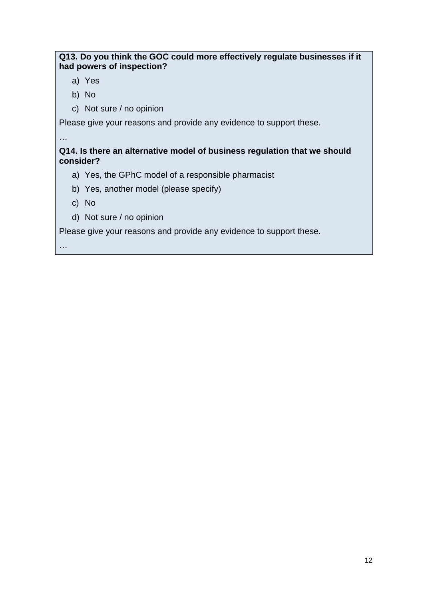# **Q13. Do you think the GOC could more effectively regulate businesses if it had powers of inspection?**

- a) Yes
- b) No
- c) Not sure / no opinion

Please give your reasons and provide any evidence to support these.

…

**Q14. Is there an alternative model of business regulation that we should consider?**

- a) Yes, the GPhC model of a responsible pharmacist
- b) Yes, another model (please specify)
- c) No
- d) Not sure / no opinion

Please give your reasons and provide any evidence to support these.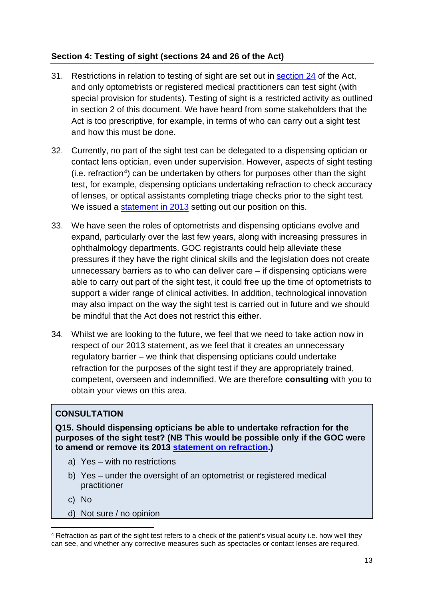# <span id="page-12-0"></span>**Section 4: Testing of sight (sections 24 and 26 of the Act)**

- 31. Restrictions in relation to testing of sight are set out in [section 24](https://www.legislation.gov.uk/ukpga/1989/44/section/24) of the Act, and only optometrists or registered medical practitioners can test sight (with special provision for students). Testing of sight is a restricted activity as outlined in section 2 of this document. We have heard from some stakeholders that the Act is too prescriptive, for example, in terms of who can carry out a sight test and how this must be done.
- 32. Currently, no part of the sight test can be delegated to a dispensing optician or contact lens optician, even under supervision. However, aspects of sight testing (i.e. refraction[4\)](#page-12-1) can be undertaken by others for purposes other than the sight test, for example, dispensing opticians undertaking refraction to check accuracy of lenses, or optical assistants completing triage checks prior to the sight test. We issued a [statement in 2013](https://www.optical.org/en/about_us/legislation/goc-statements-interpreting-legislation/index.cfm) setting out our position on this.
- 33. We have seen the roles of optometrists and dispensing opticians evolve and expand, particularly over the last few years, along with increasing pressures in ophthalmology departments. GOC registrants could help alleviate these pressures if they have the right clinical skills and the legislation does not create unnecessary barriers as to who can deliver care – if dispensing opticians were able to carry out part of the sight test, it could free up the time of optometrists to support a wider range of clinical activities. In addition, technological innovation may also impact on the way the sight test is carried out in future and we should be mindful that the Act does not restrict this either.
- 34. Whilst we are looking to the future, we feel that we need to take action now in respect of our 2013 statement, as we feel that it creates an unnecessary regulatory barrier – we think that dispensing opticians could undertake refraction for the purposes of the sight test if they are appropriately trained, competent, overseen and indemnified. We are therefore **consulting** with you to obtain your views on this area.

# **CONSULTATION**

**Q15. Should dispensing opticians be able to undertake refraction for the purposes of the sight test? (NB This would be possible only if the GOC were to amend or remove its 2013 [statement on refraction.](https://www.optical.org/en/about_us/legislation/goc-statements-interpreting-legislation/index.cfm))**

- a) Yes with no restrictions
- b) Yes under the oversight of an optometrist or registered medical practitioner
- c) No
- d) Not sure / no opinion

<span id="page-12-1"></span><sup>4</sup> Refraction as part of the sight test refers to a check of the patient's visual acuity i.e. how well they can see, and whether any corrective measures such as spectacles or contact lenses are required.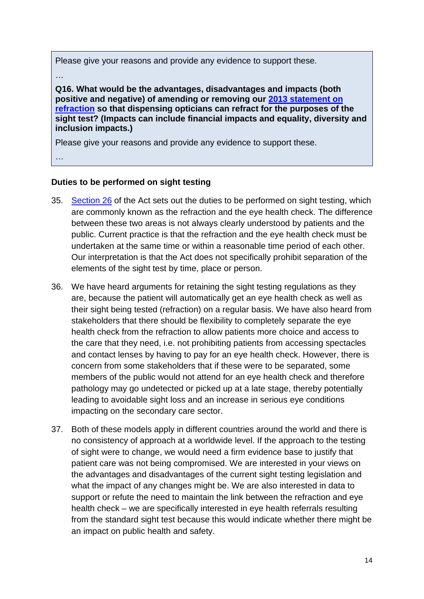Please give your reasons and provide any evidence to support these.

…

**Q16. What would be the advantages, disadvantages and impacts (both positive and negative) of amending or removing our [2013 statement on](https://www.optical.org/en/about_us/legislation/goc-statements-interpreting-legislation/index.cfm)  [refraction](https://www.optical.org/en/about_us/legislation/goc-statements-interpreting-legislation/index.cfm) so that dispensing opticians can refract for the purposes of the sight test? (Impacts can include financial impacts and equality, diversity and inclusion impacts.)**

Please give your reasons and provide any evidence to support these.

…

#### **Duties to be performed on sight testing**

- 35. [Section 26](https://www.legislation.gov.uk/ukpga/1989/44/section/26) of the Act sets out the duties to be performed on sight testing, which are commonly known as the refraction and the eye health check. The difference between these two areas is not always clearly understood by patients and the public. Current practice is that the refraction and the eye health check must be undertaken at the same time or within a reasonable time period of each other. Our interpretation is that the Act does not specifically prohibit separation of the elements of the sight test by time, place or person.
- 36. We have heard arguments for retaining the sight testing regulations as they are, because the patient will automatically get an eye health check as well as their sight being tested (refraction) on a regular basis. We have also heard from stakeholders that there should be flexibility to completely separate the eye health check from the refraction to allow patients more choice and access to the care that they need, i.e. not prohibiting patients from accessing spectacles and contact lenses by having to pay for an eye health check. However, there is concern from some stakeholders that if these were to be separated, some members of the public would not attend for an eye health check and therefore pathology may go undetected or picked up at a late stage, thereby potentially leading to avoidable sight loss and an increase in serious eye conditions impacting on the secondary care sector.
- 37. Both of these models apply in different countries around the world and there is no consistency of approach at a worldwide level. If the approach to the testing of sight were to change, we would need a firm evidence base to justify that patient care was not being compromised. We are interested in your views on the advantages and disadvantages of the current sight testing legislation and what the impact of any changes might be. We are also interested in data to support or refute the need to maintain the link between the refraction and eye health check – we are specifically interested in eye health referrals resulting from the standard sight test because this would indicate whether there might be an impact on public health and safety.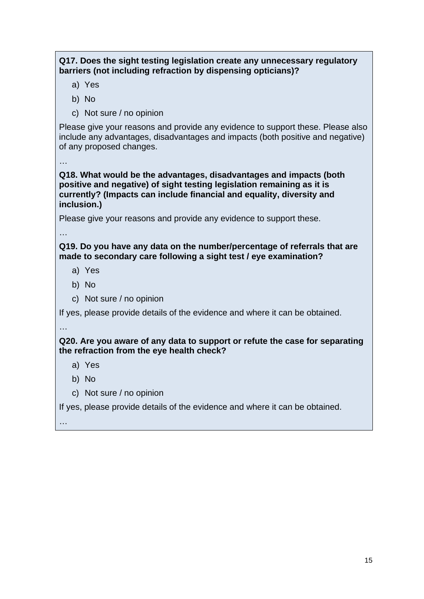# **Q17. Does the sight testing legislation create any unnecessary regulatory barriers (not including refraction by dispensing opticians)?**

- a) Yes
- b) No
- c) Not sure / no opinion

Please give your reasons and provide any evidence to support these. Please also include any advantages, disadvantages and impacts (both positive and negative) of any proposed changes.

…

**Q18. What would be the advantages, disadvantages and impacts (both positive and negative) of sight testing legislation remaining as it is currently? (Impacts can include financial and equality, diversity and inclusion.)**

Please give your reasons and provide any evidence to support these.

…

# **Q19. Do you have any data on the number/percentage of referrals that are made to secondary care following a sight test / eye examination?**

- a) Yes
- b) No
- c) Not sure / no opinion

If yes, please provide details of the evidence and where it can be obtained.

…

# **Q20. Are you aware of any data to support or refute the case for separating the refraction from the eye health check?**

a) Yes

- b) No
- c) Not sure / no opinion

If yes, please provide details of the evidence and where it can be obtained.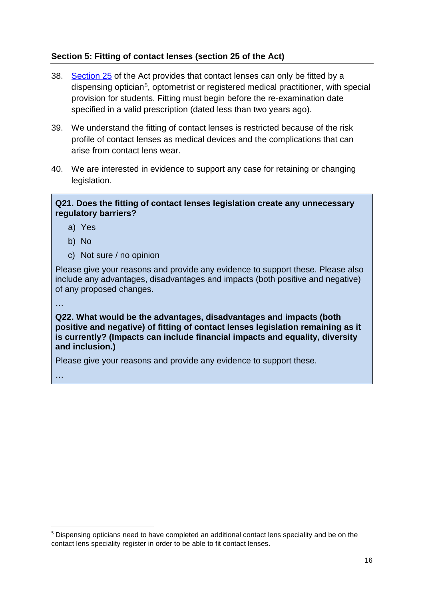# <span id="page-15-0"></span>**Section 5: Fitting of contact lenses (section 25 of the Act)**

- 38. [Section 25](https://www.legislation.gov.uk/ukpga/1989/44/section/25) of the Act provides that contact lenses can only be fitted by a dispensing optician<sup>[5](#page-15-1)</sup>, optometrist or registered medical practitioner, with special provision for students. Fitting must begin before the re-examination date specified in a valid prescription (dated less than two years ago).
- 39. We understand the fitting of contact lenses is restricted because of the risk profile of contact lenses as medical devices and the complications that can arise from contact lens wear.
- 40. We are interested in evidence to support any case for retaining or changing legislation.

#### **Q21. Does the fitting of contact lenses legislation create any unnecessary regulatory barriers?**

- a) Yes
- b) No
- c) Not sure / no opinion

Please give your reasons and provide any evidence to support these. Please also include any advantages, disadvantages and impacts (both positive and negative) of any proposed changes.

…

**Q22. What would be the advantages, disadvantages and impacts (both positive and negative) of fitting of contact lenses legislation remaining as it is currently? (Impacts can include financial impacts and equality, diversity and inclusion.)**

Please give your reasons and provide any evidence to support these.

<span id="page-15-1"></span><sup>&</sup>lt;sup>5</sup> Dispensing opticians need to have completed an additional contact lens speciality and be on the contact lens speciality register in order to be able to fit contact lenses.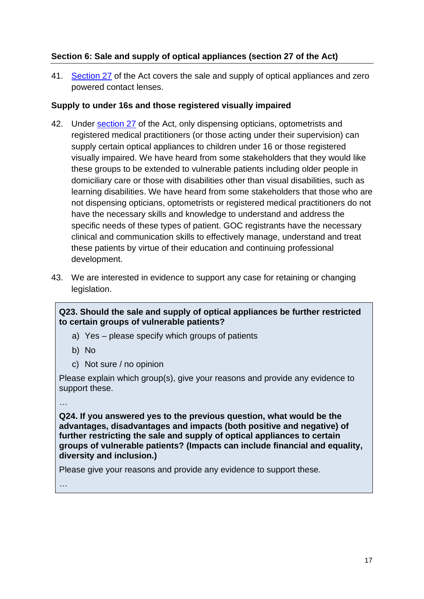# <span id="page-16-0"></span>**Section 6: Sale and supply of optical appliances (section 27 of the Act)**

41. [Section 27](https://www.legislation.gov.uk/ukpga/1989/44/section/27) of the Act covers the sale and supply of optical appliances and zero powered contact lenses.

# **Supply to under 16s and those registered visually impaired**

- 42. Under [section 27](https://www.legislation.gov.uk/ukpga/1989/44/section/27) of the Act, only dispensing opticians, optometrists and registered medical practitioners (or those acting under their supervision) can supply certain optical appliances to children under 16 or those registered visually impaired. We have heard from some stakeholders that they would like these groups to be extended to vulnerable patients including older people in domiciliary care or those with disabilities other than visual disabilities, such as learning disabilities. We have heard from some stakeholders that those who are not dispensing opticians, optometrists or registered medical practitioners do not have the necessary skills and knowledge to understand and address the specific needs of these types of patient. GOC registrants have the necessary clinical and communication skills to effectively manage, understand and treat these patients by virtue of their education and continuing professional development.
- 43. We are interested in evidence to support any case for retaining or changing legislation.

# **Q23. Should the sale and supply of optical appliances be further restricted to certain groups of vulnerable patients?**

- a) Yes please specify which groups of patients
- b) No
- c) Not sure / no opinion

Please explain which group(s), give your reasons and provide any evidence to support these.

…

**Q24. If you answered yes to the previous question, what would be the advantages, disadvantages and impacts (both positive and negative) of further restricting the sale and supply of optical appliances to certain groups of vulnerable patients? (Impacts can include financial and equality, diversity and inclusion.)**

Please give your reasons and provide any evidence to support these.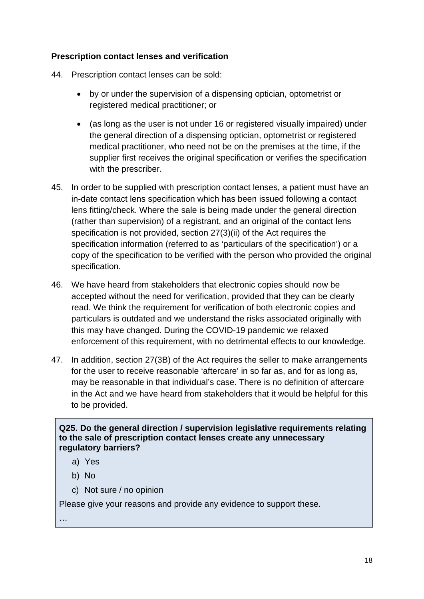# **Prescription contact lenses and verification**

- 44. Prescription contact lenses can be sold:
	- by or under the supervision of a dispensing optician, optometrist or registered medical practitioner; or
	- (as long as the user is not under 16 or registered visually impaired) under the general direction of a dispensing optician, optometrist or registered medical practitioner, who need not be on the premises at the time, if the supplier first receives the original specification or verifies the specification with the prescriber.
- 45. In order to be supplied with prescription contact lenses, a patient must have an in-date contact lens specification which has been issued following a contact lens fitting/check. Where the sale is being made under the general direction (rather than supervision) of a registrant, and an original of the contact lens specification is not provided, section 27(3)(ii) of the Act requires the specification information (referred to as 'particulars of the specification') or a copy of the specification to be verified with the person who provided the original specification.
- 46. We have heard from stakeholders that electronic copies should now be accepted without the need for verification, provided that they can be clearly read. We think the requirement for verification of both electronic copies and particulars is outdated and we understand the risks associated originally with this may have changed. During the COVID-19 pandemic we relaxed enforcement of this requirement, with no detrimental effects to our knowledge.
- 47. In addition, section 27(3B) of the Act requires the seller to make arrangements for the user to receive reasonable 'aftercare' in so far as, and for as long as, may be reasonable in that individual's case. There is no definition of aftercare in the Act and we have heard from stakeholders that it would be helpful for this to be provided.

**Q25. Do the general direction / supervision legislative requirements relating to the sale of prescription contact lenses create any unnecessary regulatory barriers?**

- a) Yes
- b) No
- c) Not sure / no opinion

Please give your reasons and provide any evidence to support these.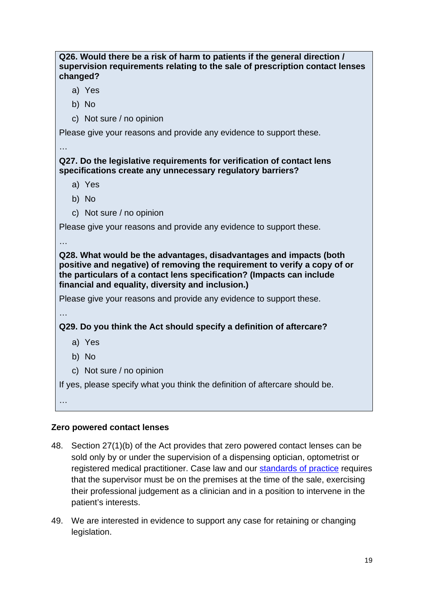# **Q26. Would there be a risk of harm to patients if the general direction / supervision requirements relating to the sale of prescription contact lenses changed?**

- a) Yes
- b) No
- c) Not sure / no opinion

Please give your reasons and provide any evidence to support these.

# **Q27. Do the legislative requirements for verification of contact lens specifications create any unnecessary regulatory barriers?**

- a) Yes
- b) No
- c) Not sure / no opinion

Please give your reasons and provide any evidence to support these.

…

…

**Q28. What would be the advantages, disadvantages and impacts (both positive and negative) of removing the requirement to verify a copy of or the particulars of a contact lens specification? (Impacts can include financial and equality, diversity and inclusion.)**

Please give your reasons and provide any evidence to support these.

…

**Q29. Do you think the Act should specify a definition of aftercare?**

- a) Yes
- b) No
- c) Not sure / no opinion

If yes, please specify what you think the definition of aftercare should be.

…

# **Zero powered contact lenses**

- 48. Section 27(1)(b) of the Act provides that zero powered contact lenses can be sold only by or under the supervision of a dispensing optician, optometrist or registered medical practitioner. Case law and our [standards of practice](https://optical.org/en/standards/) requires that the supervisor must be on the premises at the time of the sale, exercising their professional judgement as a clinician and in a position to intervene in the patient's interests.
- 49. We are interested in evidence to support any case for retaining or changing legislation.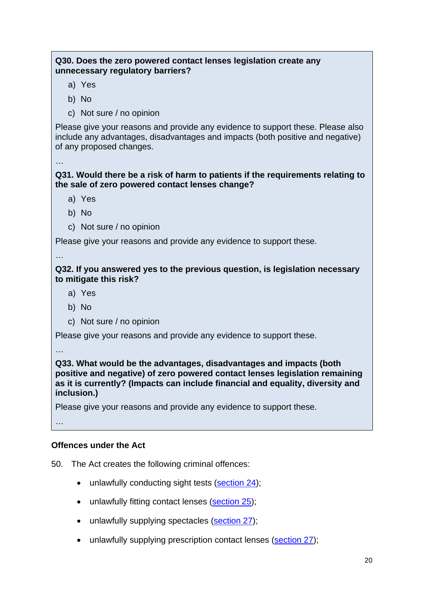# **Q30. Does the zero powered contact lenses legislation create any unnecessary regulatory barriers?**

- a) Yes
- b) No
- c) Not sure / no opinion

Please give your reasons and provide any evidence to support these. Please also include any advantages, disadvantages and impacts (both positive and negative) of any proposed changes.

…

**Q31. Would there be a risk of harm to patients if the requirements relating to the sale of zero powered contact lenses change?**

- a) Yes
- b) No
- c) Not sure / no opinion

Please give your reasons and provide any evidence to support these.

…

**Q32. If you answered yes to the previous question, is legislation necessary to mitigate this risk?**

- a) Yes
- b) No
- c) Not sure / no opinion

Please give your reasons and provide any evidence to support these.

…

**Q33. What would be the advantages, disadvantages and impacts (both positive and negative) of zero powered contact lenses legislation remaining as it is currently? (Impacts can include financial and equality, diversity and inclusion.)**

Please give your reasons and provide any evidence to support these.

…

# **Offences under the Act**

50. The Act creates the following criminal offences:

- unlawfully conducting sight tests [\(section 24\)](https://www.legislation.gov.uk/ukpga/1989/44/section/24);
- unlawfully fitting contact lenses [\(section 25\)](https://www.legislation.gov.uk/ukpga/1989/44/section/25);
- unlawfully supplying spectacles [\(section 27\)](https://www.legislation.gov.uk/ukpga/1989/44/section/27);
- unlawfully supplying prescription contact lenses [\(section 27\)](https://www.legislation.gov.uk/ukpga/1989/44/section/27);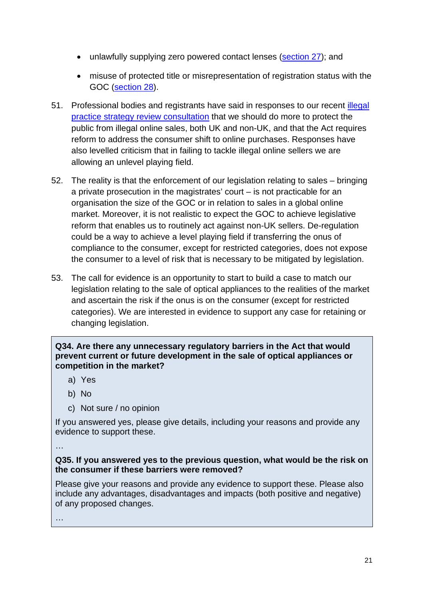- unlawfully supplying zero powered contact lenses [\(section 27\)](https://www.legislation.gov.uk/ukpga/1989/44/section/27); and
- misuse of protected title or misrepresentation of registration status with the GOC [\(section 28\)](https://www.legislation.gov.uk/ukpga/1989/44/section/28).
- 51. Professional bodies and registrants have said in responses to our recent illegal [practice strategy review consultation](https://consultation.optical.org/ftp-hearings/illegal-practice-strategy-review/) that we should do more to protect the public from illegal online sales, both UK and non-UK, and that the Act requires reform to address the consumer shift to online purchases. Responses have also levelled criticism that in failing to tackle illegal online sellers we are allowing an unlevel playing field.
- 52. The reality is that the enforcement of our legislation relating to sales bringing a private prosecution in the magistrates' court – is not practicable for an organisation the size of the GOC or in relation to sales in a global online market. Moreover, it is not realistic to expect the GOC to achieve legislative reform that enables us to routinely act against non-UK sellers. De-regulation could be a way to achieve a level playing field if transferring the onus of compliance to the consumer, except for restricted categories, does not expose the consumer to a level of risk that is necessary to be mitigated by legislation.
- 53. The call for evidence is an opportunity to start to build a case to match our legislation relating to the sale of optical appliances to the realities of the market and ascertain the risk if the onus is on the consumer (except for restricted categories). We are interested in evidence to support any case for retaining or changing legislation.

# **Q34. Are there any unnecessary regulatory barriers in the Act that would prevent current or future development in the sale of optical appliances or competition in the market?**

- a) Yes
- b) No
- c) Not sure / no opinion

If you answered yes, please give details, including your reasons and provide any evidence to support these.

# …

# **Q35. If you answered yes to the previous question, what would be the risk on the consumer if these barriers were removed?**

Please give your reasons and provide any evidence to support these. Please also include any advantages, disadvantages and impacts (both positive and negative) of any proposed changes.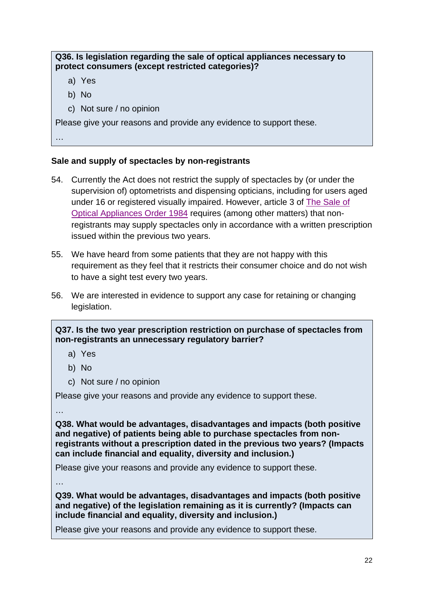# **Q36. Is legislation regarding the sale of optical appliances necessary to protect consumers (except restricted categories)?**

- a) Yes
- b) No
- c) Not sure / no opinion

Please give your reasons and provide any evidence to support these.

…

# **Sale and supply of spectacles by non-registrants**

- 54. Currently the Act does not restrict the supply of spectacles by (or under the supervision of) optometrists and dispensing opticians, including for users aged under 16 or registered visually impaired. However, article 3 of The [Sale of](https://www.legislation.gov.uk/uksi/1984/1778/contents/made)  [Optical Appliances Order 1984](https://www.legislation.gov.uk/uksi/1984/1778/contents/made) requires (among other matters) that nonregistrants may supply spectacles only in accordance with a written prescription issued within the previous two years.
- 55. We have heard from some patients that they are not happy with this requirement as they feel that it restricts their consumer choice and do not wish to have a sight test every two years.
- 56. We are interested in evidence to support any case for retaining or changing legislation.

# **Q37. Is the two year prescription restriction on purchase of spectacles from non-registrants an unnecessary regulatory barrier?**

- a) Yes
- b) No
- c) Not sure / no opinion

Please give your reasons and provide any evidence to support these.

…

**Q38. What would be advantages, disadvantages and impacts (both positive and negative) of patients being able to purchase spectacles from nonregistrants without a prescription dated in the previous two years? (Impacts can include financial and equality, diversity and inclusion.)**

Please give your reasons and provide any evidence to support these.

…

**Q39. What would be advantages, disadvantages and impacts (both positive and negative) of the legislation remaining as it is currently? (Impacts can include financial and equality, diversity and inclusion.)**

Please give your reasons and provide any evidence to support these.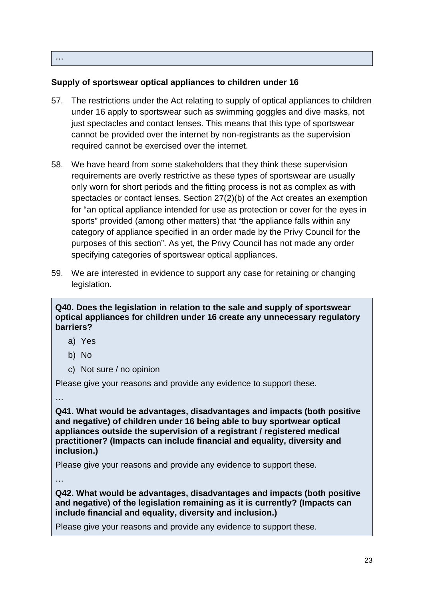#### …

# **Supply of sportswear optical appliances to children under 16**

- 57. The restrictions under the Act relating to supply of optical appliances to children under 16 apply to sportswear such as swimming goggles and dive masks, not just spectacles and contact lenses. This means that this type of sportswear cannot be provided over the internet by non-registrants as the supervision required cannot be exercised over the internet.
- 58. We have heard from some stakeholders that they think these supervision requirements are overly restrictive as these types of sportswear are usually only worn for short periods and the fitting process is not as complex as with spectacles or contact lenses. Section 27(2)(b) of the Act creates an exemption for "an optical appliance intended for use as protection or cover for the eyes in sports" provided (among other matters) that "the appliance falls within any category of appliance specified in an order made by the Privy Council for the purposes of this section". As yet, the Privy Council has not made any order specifying categories of sportswear optical appliances.
- 59. We are interested in evidence to support any case for retaining or changing legislation.

**Q40. Does the legislation in relation to the sale and supply of sportswear optical appliances for children under 16 create any unnecessary regulatory barriers?**

- a) Yes
- b) No
- c) Not sure / no opinion

Please give your reasons and provide any evidence to support these.

…

**Q41. What would be advantages, disadvantages and impacts (both positive and negative) of children under 16 being able to buy sportwear optical appliances outside the supervision of a registrant / registered medical practitioner? (Impacts can include financial and equality, diversity and inclusion.)**

Please give your reasons and provide any evidence to support these.

…

**Q42. What would be advantages, disadvantages and impacts (both positive and negative) of the legislation remaining as it is currently? (Impacts can include financial and equality, diversity and inclusion.)**

Please give your reasons and provide any evidence to support these.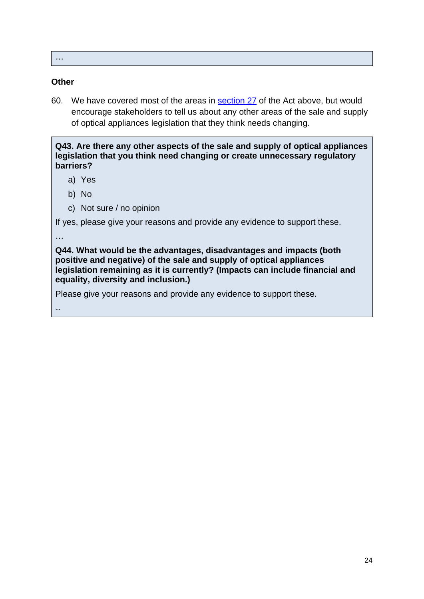…

#### **Other**

60. We have covered most of the areas in **[section 27](https://www.legislation.gov.uk/ukpga/1989/44/section/27)** of the Act above, but would encourage stakeholders to tell us about any other areas of the sale and supply of optical appliances legislation that they think needs changing.

**Q43. Are there any other aspects of the sale and supply of optical appliances legislation that you think need changing or create unnecessary regulatory barriers?**

- a) Yes
- b) No
- c) Not sure / no opinion

If yes, please give your reasons and provide any evidence to support these.

…

…

**Q44. What would be the advantages, disadvantages and impacts (both positive and negative) of the sale and supply of optical appliances legislation remaining as it is currently? (Impacts can include financial and equality, diversity and inclusion.)**

Please give your reasons and provide any evidence to support these.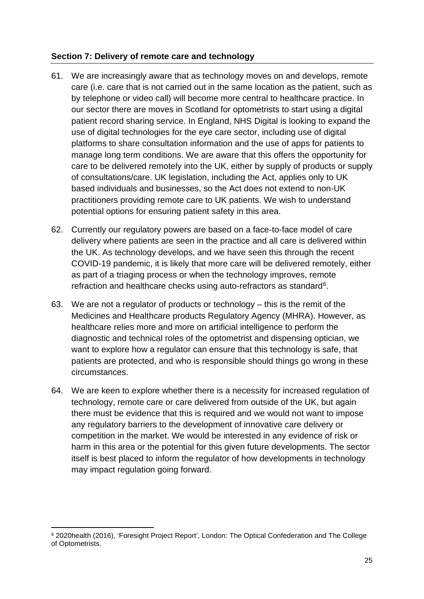# <span id="page-24-0"></span>**Section 7: Delivery of remote care and technology**

- 61. We are increasingly aware that as technology moves on and develops, remote care (i.e. care that is not carried out in the same location as the patient, such as by telephone or video call) will become more central to healthcare practice. In our sector there are moves in Scotland for optometrists to start using a digital patient record sharing service. In England, NHS Digital is looking to expand the use of digital technologies for the eye care sector, including use of digital platforms to share consultation information and the use of apps for patients to manage long term conditions. We are aware that this offers the opportunity for care to be delivered remotely into the UK, either by supply of products or supply of consultations/care. UK legislation, including the Act, applies only to UK based individuals and businesses, so the Act does not extend to non-UK practitioners providing remote care to UK patients. We wish to understand potential options for ensuring patient safety in this area.
- 62. Currently our regulatory powers are based on a face-to-face model of care delivery where patients are seen in the practice and all care is delivered within the UK. As technology develops, and we have seen this through the recent COVID-19 pandemic, it is likely that more care will be delivered remotely, either as part of a triaging process or when the technology improves, remote refraction and healthcare checks using auto-refractors as standard<sup>[6](#page-24-1)</sup>.
- 63. We are not a regulator of products or technology this is the remit of the Medicines and Healthcare products Regulatory Agency (MHRA). However, as healthcare relies more and more on artificial intelligence to perform the diagnostic and technical roles of the optometrist and dispensing optician, we want to explore how a regulator can ensure that this technology is safe, that patients are protected, and who is responsible should things go wrong in these circumstances.
- 64. We are keen to explore whether there is a necessity for increased regulation of technology, remote care or care delivered from outside of the UK, but again there must be evidence that this is required and we would not want to impose any regulatory barriers to the development of innovative care delivery or competition in the market. We would be interested in any evidence of risk or harm in this area or the potential for this given future developments. The sector itself is best placed to inform the regulator of how developments in technology may impact regulation going forward.

<span id="page-24-1"></span><sup>6</sup> 2020health (2016), 'Foresight Project Report', London: The Optical Confederation and The College of Optometrists.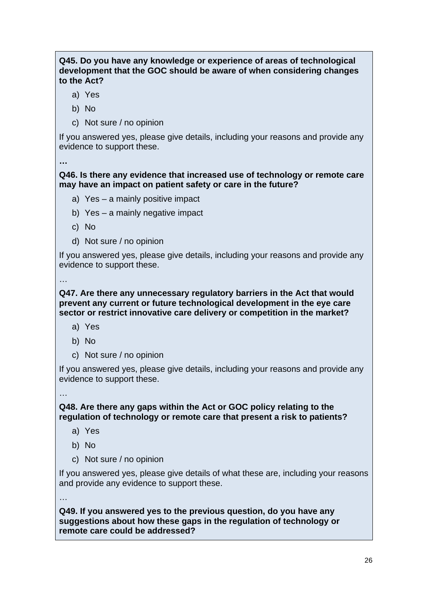# **Q45. Do you have any knowledge or experience of areas of technological development that the GOC should be aware of when considering changes to the Act?**

- a) Yes
- b) No
- c) Not sure / no opinion

If you answered yes, please give details, including your reasons and provide any evidence to support these.

**…**

# **Q46. Is there any evidence that increased use of technology or remote care may have an impact on patient safety or care in the future?**

- a) Yes a mainly positive impact
- b) Yes a mainly negative impact
- c) No
- d) Not sure / no opinion

If you answered yes, please give details, including your reasons and provide any evidence to support these.

…

#### **Q47. Are there any unnecessary regulatory barriers in the Act that would prevent any current or future technological development in the eye care sector or restrict innovative care delivery or competition in the market?**

- a) Yes
- b) No
- c) Not sure / no opinion

If you answered yes, please give details, including your reasons and provide any evidence to support these.

…

**Q48. Are there any gaps within the Act or GOC policy relating to the regulation of technology or remote care that present a risk to patients?**

- a) Yes
- b) No
- c) Not sure / no opinion

If you answered yes, please give details of what these are, including your reasons and provide any evidence to support these.

…

**Q49. If you answered yes to the previous question, do you have any suggestions about how these gaps in the regulation of technology or remote care could be addressed?**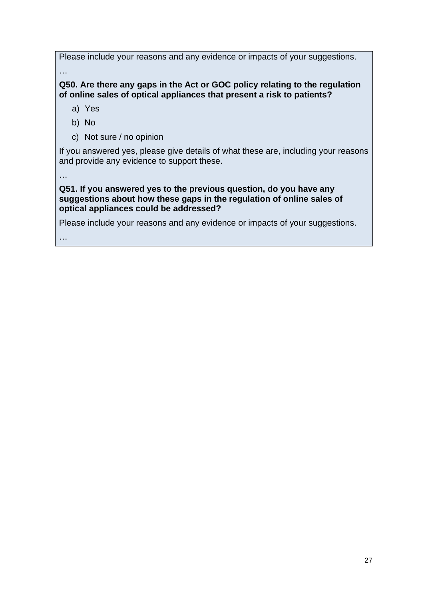Please include your reasons and any evidence or impacts of your suggestions. …

**Q50. Are there any gaps in the Act or GOC policy relating to the regulation of online sales of optical appliances that present a risk to patients?** 

a) Yes

- b) No
- c) Not sure / no opinion

If you answered yes, please give details of what these are, including your reasons and provide any evidence to support these.

…

#### **Q51. If you answered yes to the previous question, do you have any suggestions about how these gaps in the regulation of online sales of optical appliances could be addressed?**

Please include your reasons and any evidence or impacts of your suggestions.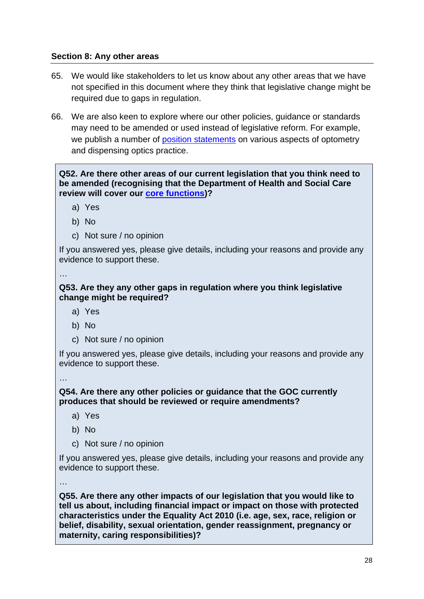# <span id="page-27-0"></span>**Section 8: Any other areas**

- 65. We would like stakeholders to let us know about any other areas that we have not specified in this document where they think that legislative change might be required due to gaps in regulation.
- 66. We are also keen to explore where our other policies, guidance or standards may need to be amended or used instead of legislative reform. For example, we publish a number of [position statements](https://optical.org/en/publications/position-statements-and-useful-information/statement-on-testing-of-sight/) on various aspects of optometry and dispensing optics practice.

**Q52. Are there other areas of our current legislation that you think need to be amended (recognising that the Department of Health and Social Care review will cover our [core functions\)](https://optical.org/en/about-us/who-we-are/introduction-to-the-general-optical-council/)?**

- a) Yes
- b) No
- c) Not sure / no opinion

If you answered yes, please give details, including your reasons and provide any evidence to support these.

…

#### **Q53. Are they any other gaps in regulation where you think legislative change might be required?**

- a) Yes
- b) No
- c) Not sure / no opinion

If you answered yes, please give details, including your reasons and provide any evidence to support these.

…

#### **Q54. Are there any other policies or guidance that the GOC currently produces that should be reviewed or require amendments?**

- a) Yes
- b) No
- c) Not sure / no opinion

If you answered yes, please give details, including your reasons and provide any evidence to support these.

…

**Q55. Are there any other impacts of our legislation that you would like to tell us about, including financial impact or impact on those with protected characteristics under the Equality Act 2010 (i.e. age, sex, race, religion or belief, disability, sexual orientation, gender reassignment, pregnancy or maternity, caring responsibilities)?**